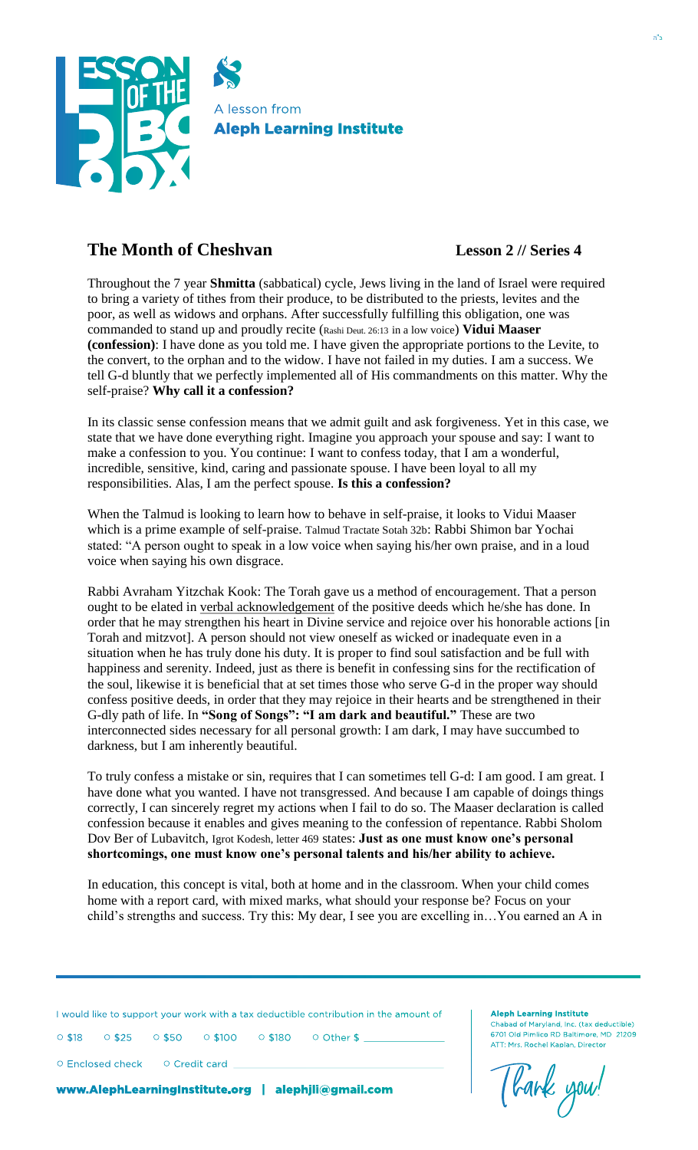

## **The Month of Cheshvan Lesson 2 // Series 4**

Throughout the 7 year **Shmitta** (sabbatical) cycle, Jews living in the land of Israel were required to bring a variety of tithes from their produce, to be distributed to the priests, levites and the poor, as well as widows and orphans. After successfully fulfilling this obligation, one was commanded to stand up and proudly recite (Rashi Deut. 26:13 in a low voice) **Vidui Maaser (confession)**: I have done as you told me. I have given the appropriate portions to the Levite, to the convert, to the orphan and to the widow. I have not failed in my duties. I am a success. We tell G-d bluntly that we perfectly implemented all of His commandments on this matter. Why the self-praise? **Why call it a confession?**

In its classic sense confession means that we admit guilt and ask forgiveness. Yet in this case, we state that we have done everything right. Imagine you approach your spouse and say: I want to make a confession to you. You continue: I want to confess today, that I am a wonderful, incredible, sensitive, kind, caring and passionate spouse. I have been loyal to all my responsibilities. Alas, I am the perfect spouse. **Is this a confession?**

When the Talmud is looking to learn how to behave in self-praise, it looks to Vidui Maaser which is a prime example of self-praise. Talmud Tractate Sotah 32b: Rabbi Shimon bar Yochai stated: "A person ought to speak in a low voice when saying his/her own praise, and in a loud voice when saying his own disgrace.

Rabbi Avraham Yitzchak Kook: The Torah gave us a method of encouragement. That a person ought to be elated in verbal acknowledgement of the positive deeds which he/she has done. In order that he may strengthen his heart in Divine service and rejoice over his honorable actions [in Torah and mitzvot]. A person should not view oneself as wicked or inadequate even in a situation when he has truly done his duty. It is proper to find soul satisfaction and be full with happiness and serenity. Indeed, just as there is benefit in confessing sins for the rectification of the soul, likewise it is beneficial that at set times those who serve G-d in the proper way should confess positive deeds, in order that they may rejoice in their hearts and be strengthened in their G-dly path of life. In **"Song of Songs": "I am dark and beautiful."** These are two interconnected sides necessary for all personal growth: I am dark, I may have succumbed to darkness, but I am inherently beautiful.

To truly confess a mistake or sin, requires that I can sometimes tell G-d: I am good. I am great. I have done what you wanted. I have not transgressed. And because I am capable of doings things correctly, I can sincerely regret my actions when I fail to do so. The Maaser declaration is called confession because it enables and gives meaning to the confession of repentance. Rabbi Sholom Dov Ber of Lubavitch, Igrot Kodesh, letter 469 states: **Just as one must know one's personal shortcomings, one must know one's personal talents and his/her ability to achieve.**

In education, this concept is vital, both at home and in the classroom. When your child comes home with a report card, with mixed marks, what should your response be? Focus on your child's strengths and success. Try this: My dear, I see you are excelling in…You earned an A in

I would like to support your work with a tax deductible contribution in the amount of I would like to support your work with a tax deductible contribution in the amount of

○ \$18 ○ \$25 ○ \$50 ○ \$100 ○ \$180 ○ Other \$ \_\_\_\_\_\_\_\_\_\_\_\_\_\_\_\_\_\_\_\_\_\_\_ ○ \$18 ○ \$25 ○ \$50 ○ \$100 ○ \$180 ○ Other \$ \_\_\_\_\_\_\_\_\_\_\_\_\_\_\_\_\_\_\_\_\_\_\_

○ Enclosed check ○ Credit card \_\_\_\_\_\_\_\_\_\_\_\_\_\_\_\_\_\_\_\_\_\_\_\_\_\_\_\_\_\_\_\_\_\_\_\_\_\_\_\_\_\_\_\_\_\_\_\_\_\_\_\_\_\_\_\_\_\_\_\_ ○ Enclosed check ○ Credit card \_\_\_\_\_\_\_\_\_\_\_\_\_\_\_\_\_\_\_\_\_\_\_\_\_\_\_\_\_\_\_\_\_\_\_\_\_\_\_\_\_\_\_\_\_\_\_\_\_\_\_\_\_\_\_\_\_\_\_\_

www.AlephLearningInstitute.org | alephjli@gmail.com www.AlephLearningInstitute.org | alephjli@gmail.com

Thank you!

**Aleph Learning Institute Aleph Learning Institute**

Chabad of Maryland, Inc. (tax deductible) Chabad of Maryland, Inc. (tax deductible) 6701 Old Pimlico RD Baltimore, MD 21209 6701 Old Pimlico RD Baltimore, MD 21209 ATT: Mrs. Rochel Kaplan, Director ATT: Mrs. Rochel Kaplan, Director